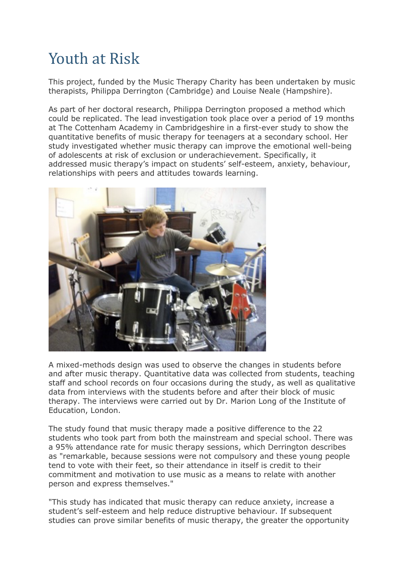## **Youth at Risk**

This project, funded by the Music Therapy Charity has been undertaken by music therapists, Philippa Derrington (Cambridge) and Louise Neale (Hampshire).

As part of her doctoral research, Philippa Derrington proposed a method which could be replicated. The lead investigation took place over a period of 19 months at The Cottenham Academy in Cambridgeshire in a first-ever study to show the quantitative benefits of music therapy for teenagers at a secondary school. Her study investigated whether music therapy can improve the emotional well-being of adolescents at risk of exclusion or underachievement. Specifically, it addressed music therapy's impact on students' self-esteem, anxiety, behaviour, relationships with peers and attitudes towards learning.



A mixed-methods design was used to observe the changes in students before and after music therapy. Quantitative data was collected from students, teaching staff and school records on four occasions during the study, as well as qualitative data from interviews with the students before and after their block of music therapy. The interviews were carried out by Dr. Marion Long of the Institute of Education, London.

The study found that music therapy made a positive difference to the 22 students who took part from both the mainstream and special school. There was a 95% attendance rate for music therapy sessions, which Derrington describes as "remarkable, because sessions were not compulsory and these young people tend to vote with their feet, so their attendance in itself is credit to their commitment and motivation to use music as a means to relate with another person and express themselves."

"This study has indicated that music therapy can reduce anxiety, increase a student's self-esteem and help reduce distruptive behaviour. If subsequent studies can prove similar benefits of music therapy, the greater the opportunity